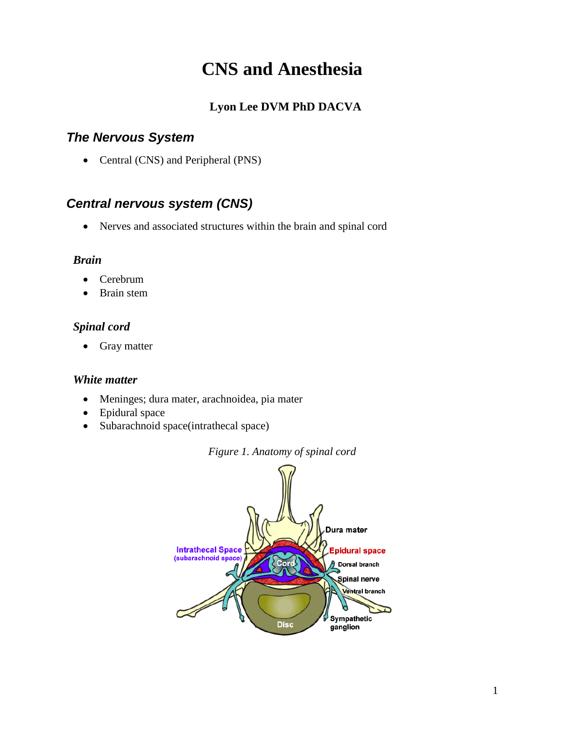# **CNS and Anesthesia**

# **Lyon Lee DVM PhD DACVA**

## *The Nervous System*

• Central (CNS) and Peripheral (PNS)

# *Central nervous system (CNS)*

• Nerves and associated structures within the brain and spinal cord

#### *Brain*

- Cerebrum
- Brain stem

### *Spinal cord*

• Gray matter

#### *White matter*

- Meninges; dura mater, arachnoidea, pia mater
- Epidural space
- Subarachnoid space(intrathecal space)



*Figure 1. Anatomy of spinal cord*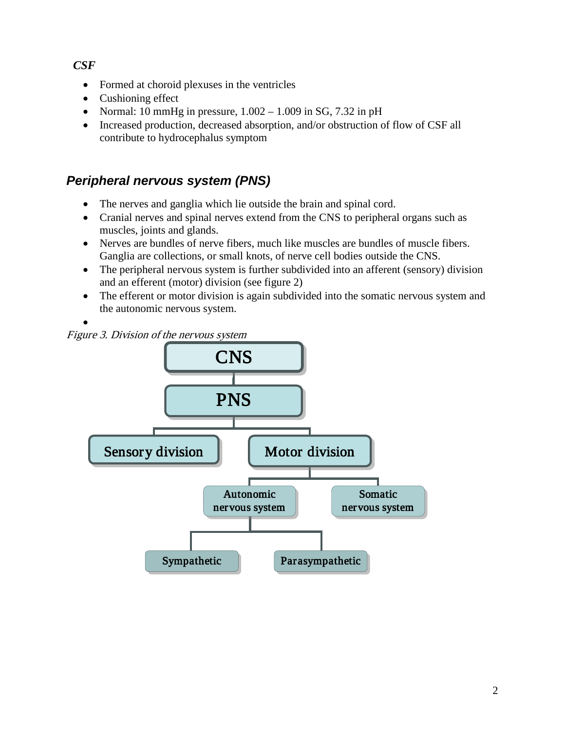### *CSF*

- Formed at choroid plexuses in the ventricles
- Cushioning effect
- Normal: 10 mmHg in pressure,  $1.002 1.009$  in SG, 7.32 in pH
- [Increased production,](http://anatome.ncl.ac.uk/tutorials/brain1/text/page9.html##) decreased absorption, and/or obstruction of flow of CSF all contribute to hydrocephalus symptom

# *Peripheral nervous system (PNS)*

- The nerves and ganglia which lie outside the brain and spinal cord.
- Cranial nerves and spinal nerves extend from the CNS to peripheral organs such as muscles, joints and glands.
- Nerves are bundles of nerve fibers, much like muscles are bundles of muscle fibers. Ganglia are collections, or small knots, of nerve cell bodies outside the CNS.
- The peripheral nervous system is further subdivided into an afferent (sensory) division and an efferent (motor) division (see figure 2)
- The efferent or motor division is again subdivided into the somatic nervous system and the autonomic nervous system.



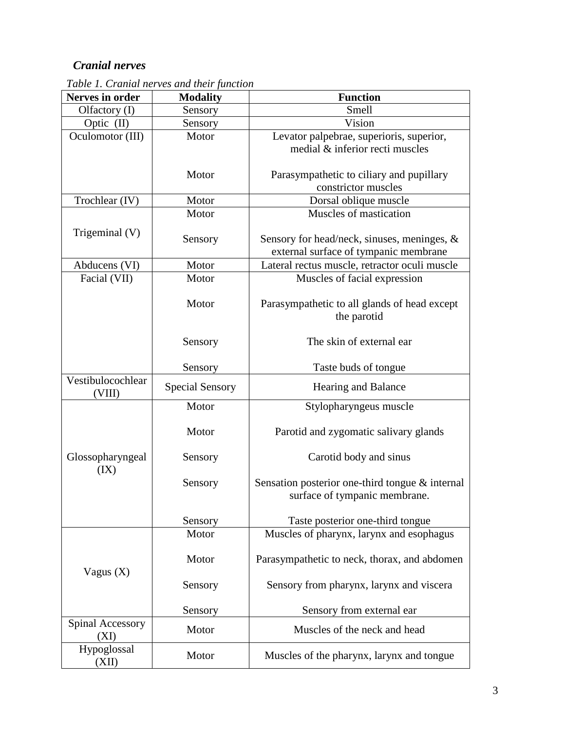### *Cranial nerves*

| <b>Nerves in order</b>      | <b>Modality</b>        | <b>Function</b>                                                 |  |  |
|-----------------------------|------------------------|-----------------------------------------------------------------|--|--|
| Olfactory (I)               | Sensory                | Smell                                                           |  |  |
| Optic (II)                  | Sensory                | Vision                                                          |  |  |
| Oculomotor (III)            | Motor                  | Levator palpebrae, superioris, superior,                        |  |  |
|                             |                        | medial & inferior recti muscles                                 |  |  |
|                             |                        |                                                                 |  |  |
|                             | Motor                  | Parasympathetic to ciliary and pupillary<br>constrictor muscles |  |  |
| Trochlear (IV)              | Motor                  |                                                                 |  |  |
|                             | Motor                  | Dorsal oblique muscle<br>Muscles of mastication                 |  |  |
|                             |                        |                                                                 |  |  |
| Trigeminal (V)              | Sensory                | Sensory for head/neck, sinuses, meninges, $\&$                  |  |  |
|                             |                        | external surface of tympanic membrane                           |  |  |
| Abducens (VI)               | Motor                  | Lateral rectus muscle, retractor oculi muscle                   |  |  |
| Facial (VII)                | Motor                  | Muscles of facial expression                                    |  |  |
|                             |                        |                                                                 |  |  |
|                             | Motor                  | Parasympathetic to all glands of head except                    |  |  |
|                             |                        | the parotid                                                     |  |  |
|                             | Sensory                | The skin of external ear                                        |  |  |
|                             |                        |                                                                 |  |  |
|                             | Sensory                | Taste buds of tongue                                            |  |  |
| Vestibulocochlear<br>(VIII) | <b>Special Sensory</b> | Hearing and Balance                                             |  |  |
|                             | Motor                  | Stylopharyngeus muscle                                          |  |  |
|                             | Motor                  |                                                                 |  |  |
|                             |                        | Parotid and zygomatic salivary glands                           |  |  |
| Glossopharyngeal            | Sensory                | Carotid body and sinus                                          |  |  |
| (IX)                        |                        |                                                                 |  |  |
|                             | Sensory                | Sensation posterior one-third tongue & internal                 |  |  |
|                             |                        | surface of tympanic membrane.                                   |  |  |
|                             |                        |                                                                 |  |  |
|                             | Sensory                | Taste posterior one-third tongue                                |  |  |
|                             | Motor                  | Muscles of pharynx, larynx and esophagus                        |  |  |
|                             | Motor                  | Parasympathetic to neck, thorax, and abdomen                    |  |  |
| Vagus $(X)$                 |                        |                                                                 |  |  |
|                             | Sensory                | Sensory from pharynx, larynx and viscera                        |  |  |
|                             |                        |                                                                 |  |  |
|                             | Sensory                | Sensory from external ear                                       |  |  |
| Spinal Accessory            | Motor                  | Muscles of the neck and head                                    |  |  |
| (XI)                        |                        |                                                                 |  |  |
| Hypoglossal<br>(XII)        | Motor                  | Muscles of the pharynx, larynx and tongue                       |  |  |

*Table 1. Cranial nerves and their function*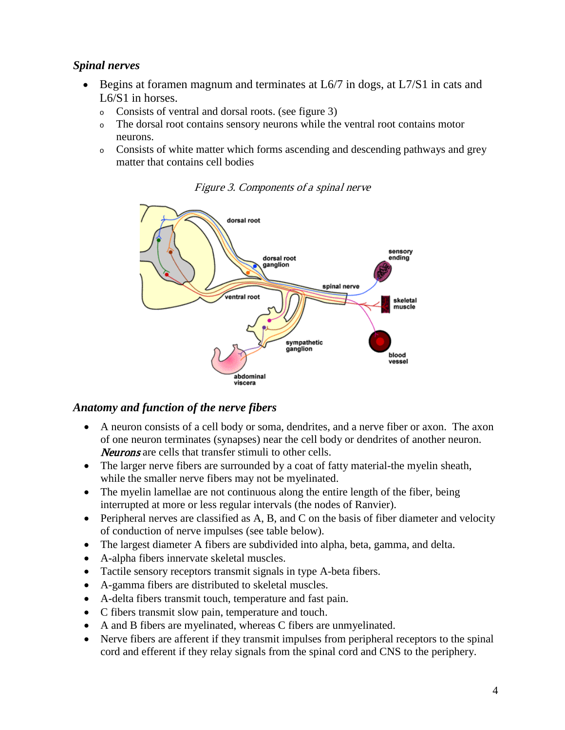#### *Spinal nerves*

- Begins at foramen magnum and terminates at L6/7 in dogs, at L7/S1 in cats and L6/S1 in horses.
	- <sup>o</sup> Consists of ventral and dorsal roots. (see figure 3)
	- <sup>o</sup> The dorsal root contains sensory neurons while the ventral root contains motor neurons.
	- <sup>o</sup> Consists of white matter which forms ascending and descending pathways and grey matter that contains cell bodies



Figure 3. Components of a spinal nerve

#### *Anatomy and function of the nerve fibers*

- A neuron consists of a cell body or soma, dendrites, and a nerve fiber or axon. The axon of one neuron terminates (synapses) near the cell body or dendrites of another neuron. Neurons are cells that transfer stimuli to other cells.
- The larger nerve fibers are surrounded by a coat of fatty material-the myelin sheath, while the smaller nerve fibers may not be myelinated.
- The myelin lamellae are not continuous along the entire length of the fiber, being interrupted at more or less regular intervals (the nodes of Ranvier).
- Peripheral nerves are classified as A, B, and C on the basis of fiber diameter and velocity of conduction of nerve impulses (see table below).
- The largest diameter A fibers are subdivided into alpha, beta, gamma, and delta.
- A-alpha fibers innervate skeletal muscles.
- Tactile sensory receptors transmit signals in type A-beta fibers.
- A-gamma fibers are distributed to skeletal muscles.
- A-delta fibers transmit touch, temperature and fast pain.
- C fibers transmit slow pain, temperature and touch.
- A and B fibers are myelinated, whereas C fibers are unmyelinated.
- Nerve fibers are afferent if they transmit impulses from peripheral receptors to the spinal cord and efferent if they relay signals from the spinal cord and CNS to the periphery.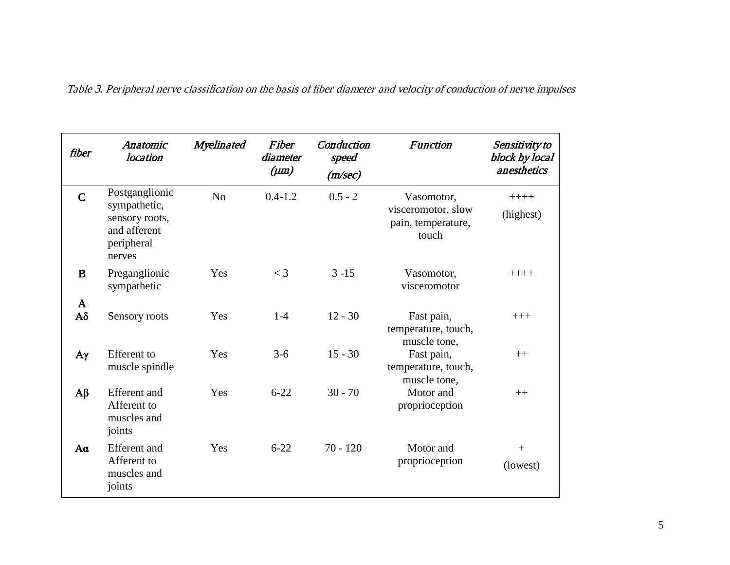| fiber                     | Anatomic<br>location                                                                     | Myelinated     | Fiber<br>diameter<br>$(\mu m)$ | Conduction<br>speed<br>(m/sec) | <b>Function</b>                                                 | Sensitivity to<br>block by local<br>anesthetics |
|---------------------------|------------------------------------------------------------------------------------------|----------------|--------------------------------|--------------------------------|-----------------------------------------------------------------|-------------------------------------------------|
| $\mathbf C$               | Postganglionic<br>sympathetic,<br>sensory roots,<br>and afferent<br>peripheral<br>nerves | N <sub>o</sub> | $0.4 - 1.2$                    | $0.5 - 2$                      | Vasomotor,<br>visceromotor, slow<br>pain, temperature,<br>touch | $+++++$<br>(highest)                            |
| B                         | Preganglionic<br>sympathetic                                                             | Yes            | $<$ 3                          | $3 - 15$                       | Vasomotor,<br>visceromotor                                      | $+++++$                                         |
| $\mathbf{A}$<br>$A\delta$ | Sensory roots                                                                            | Yes            | $1-4$                          | $12 - 30$                      | Fast pain,<br>temperature, touch,<br>muscle tone,               | $+++$                                           |
| $A\gamma$                 | <b>Efferent</b> to<br>muscle spindle                                                     | Yes            | $3-6$                          | $15 - 30$                      | Fast pain,<br>temperature, touch,<br>muscle tone,               | $++$                                            |
| $A\beta$                  | <b>Efferent</b> and<br>Afferent to<br>muscles and<br>joints                              | Yes            | $6 - 22$                       | $30 - 70$                      | Motor and<br>proprioception                                     | $++$                                            |
| $A\alpha$                 | <b>Efferent</b> and<br>Afferent to<br>muscles and<br>joints                              | Yes            | $6 - 22$                       | $70 - 120$                     | Motor and<br>proprioception                                     | $^{+}$<br>(lowest)                              |

Table 3. Peripheral nerve classification on the basis of fiber diameter and velocity of conduction of nerve impulses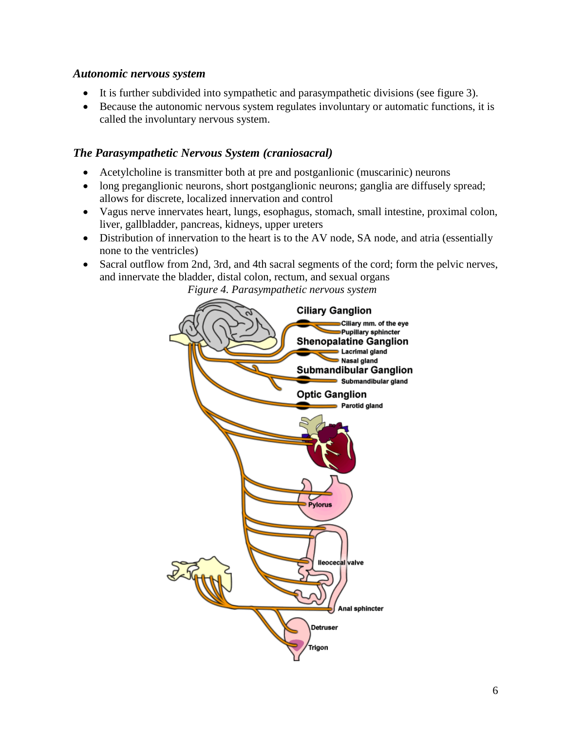#### *Autonomic nervous system*

- It is further subdivided into sympathetic and parasympathetic divisions (see figure 3).
- Because the autonomic nervous system regulates involuntary or automatic functions, it is called the involuntary nervous system.

#### *The Parasympathetic Nervous System (craniosacral)*

- Acetylcholine is transmitter both at pre and postganlionic (muscarinic) neurons
- long preganglionic neurons, short postganglionic neurons; ganglia are diffusely spread; allows for discrete, localized innervation and control
- Vagus nerve innervates heart, lungs, esophagus, stomach, small intestine, proximal colon, liver, gallbladder, pancreas, kidneys, upper ureters
- Distribution of innervation to the heart is to the AV node, SA node, and atria (essentially none to the ventricles)
- Sacral outflow from 2nd, 3rd, and 4th sacral segments of the cord; form the pelvic nerves, and innervate the bladder, distal colon, rectum, and sexual organs

*Figure 4. Parasympathetic nervous system*

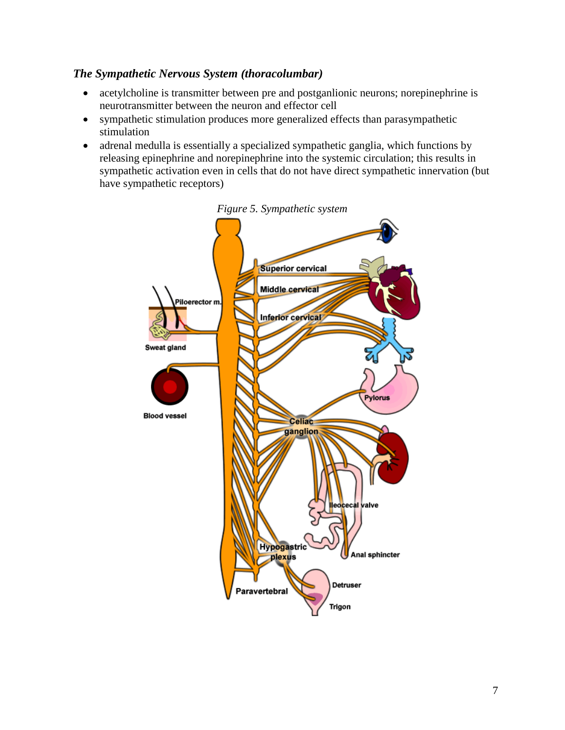#### *The Sympathetic Nervous System (thoracolumbar)*

- acetylcholine is transmitter between pre and postganlionic neurons; norepinephrine is neurotransmitter between the neuron and effector cell
- sympathetic stimulation produces more generalized effects than parasympathetic stimulation
- adrenal medulla is essentially a specialized sympathetic ganglia, which functions by releasing epinephrine and norepinephrine into the systemic circulation; this results in sympathetic activation even in cells that do not have direct sympathetic innervation (but have sympathetic receptors)



*Figure 5. Sympathetic system*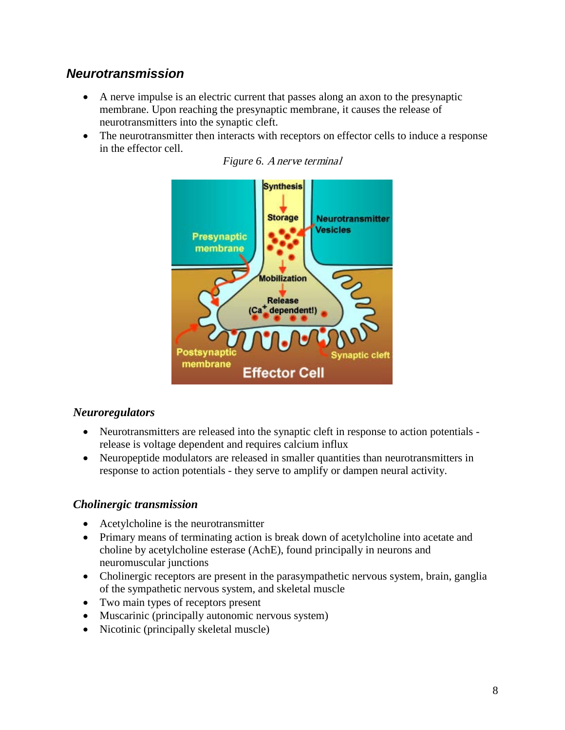### *Neurotransmission*

- A nerve impulse is an electric current that passes along an axon to the presynaptic membrane. Upon reaching the presynaptic membrane, it causes the release of neurotransmitters into the synaptic cleft.
- The neurotransmitter then interacts with receptors on effector cells to induce a response in the effector cell.





#### *Neuroregulators*

- Neurotransmitters are released into the synaptic cleft in response to action potentials release is voltage dependent and requires calcium influx
- Neuropeptide modulators are released in smaller quantities than neurotransmitters in response to action potentials - they serve to amplify or dampen neural activity.

#### *Cholinergic transmission*

- Acetylcholine is the neurotransmitter
- Primary means of terminating action is break down of acetylcholine into acetate and choline by acetylcholine esterase (AchE), found principally in neurons and neuromuscular junctions
- Cholinergic receptors are present in the parasympathetic nervous system, brain, ganglia of the sympathetic nervous system, and skeletal muscle
- Two main types of receptors present
- Muscarinic (principally autonomic nervous system)
- Nicotinic (principally skeletal muscle)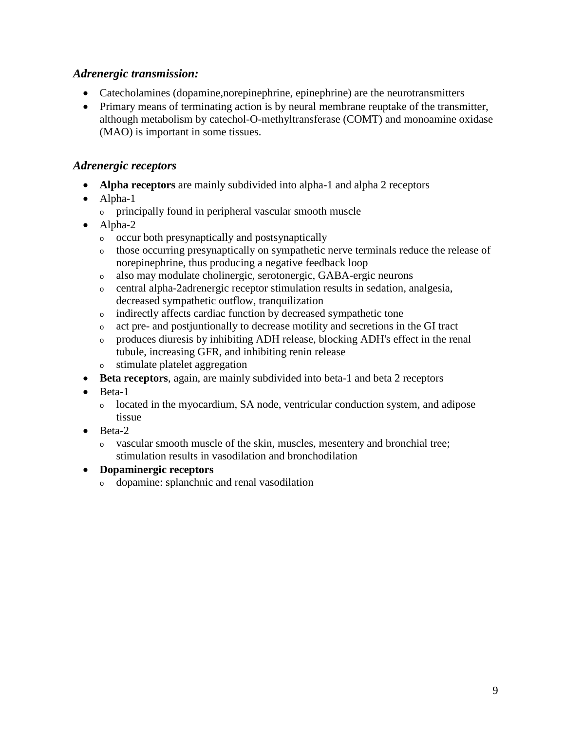#### *Adrenergic transmission:*

- Catecholamines (dopamine, norepinephrine, epinephrine) are the neurotransmitters
- Primary means of terminating action is by neural membrane reuptake of the transmitter, although metabolism by catechol-O-methyltransferase (COMT) and monoamine oxidase (MAO) is important in some tissues.

#### *Adrenergic receptors*

- **Alpha receptors** are mainly subdivided into alpha-1 and alpha 2 receptors
- Alpha-1
	- <sup>o</sup> principally found in peripheral vascular smooth muscle
- Alpha-2
	- <sup>o</sup> occur both presynaptically and postsynaptically
	- <sup>o</sup> those occurring presynaptically on sympathetic nerve terminals reduce the release of norepinephrine, thus producing a negative feedback loop
	- <sup>o</sup> also may modulate cholinergic, serotonergic, GABA-ergic neurons
	- <sup>o</sup> central alpha-2adrenergic receptor stimulation results in sedation, analgesia, decreased sympathetic outflow, tranquilization
	- <sup>o</sup> indirectly affects cardiac function by decreased sympathetic tone
	- <sup>o</sup> act pre- and postjuntionally to decrease motility and secretions in the GI tract
	- <sup>o</sup> produces diuresis by inhibiting ADH release, blocking ADH's effect in the renal tubule, increasing GFR, and inhibiting renin release
	- <sup>o</sup> stimulate platelet aggregation
- **Beta receptors**, again, are mainly subdivided into beta-1 and beta 2 receptors
- Beta-1
	- <sup>o</sup> located in the myocardium, SA node, ventricular conduction system, and adipose tissue
- Beta-2
	- <sup>o</sup> vascular smooth muscle of the skin, muscles, mesentery and bronchial tree; stimulation results in vasodilation and bronchodilation

#### • **Dopaminergic receptors**

<sup>o</sup> dopamine: splanchnic and renal vasodilation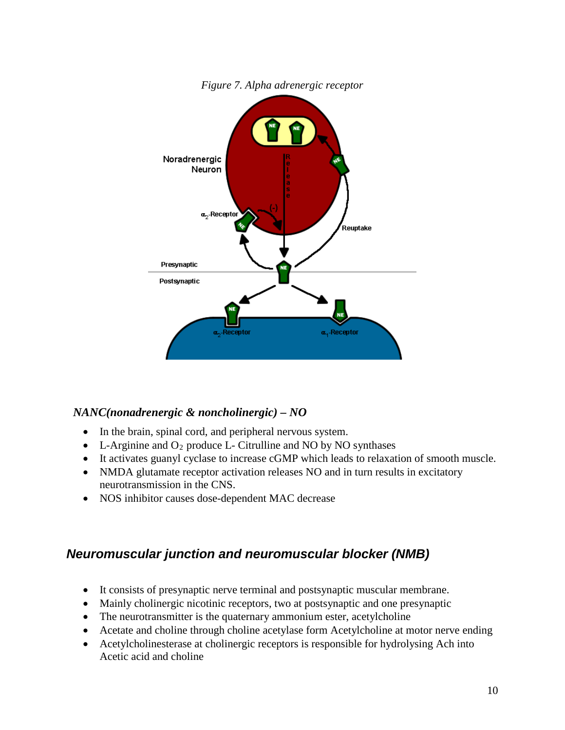

*Figure 7. Alpha adrenergic receptor*

#### *NANC(nonadrenergic & noncholinergic) – NO*

- In the brain, spinal cord, and peripheral nervous system.
- L-Arginine and  $O_2$  produce L- Citrulline and NO by NO synthases
- It activates guanyl cyclase to increase cGMP which leads to relaxation of smooth muscle.
- NMDA glutamate receptor activation releases NO and in turn results in excitatory neurotransmission in the CNS.
- NOS inhibitor causes dose-dependent MAC decrease

### *Neuromuscular junction and neuromuscular blocker (NMB)*

- It consists of presynaptic nerve terminal and postsynaptic muscular membrane.
- Mainly cholinergic nicotinic receptors, two at postsynaptic and one presynaptic
- The neurotransmitter is the quaternary ammonium ester, acetylcholine
- Acetate and choline through choline acetylase form Acetylcholine at motor nerve ending
- Acetylcholinesterase at cholinergic receptors is responsible for hydrolysing Ach into Acetic acid and choline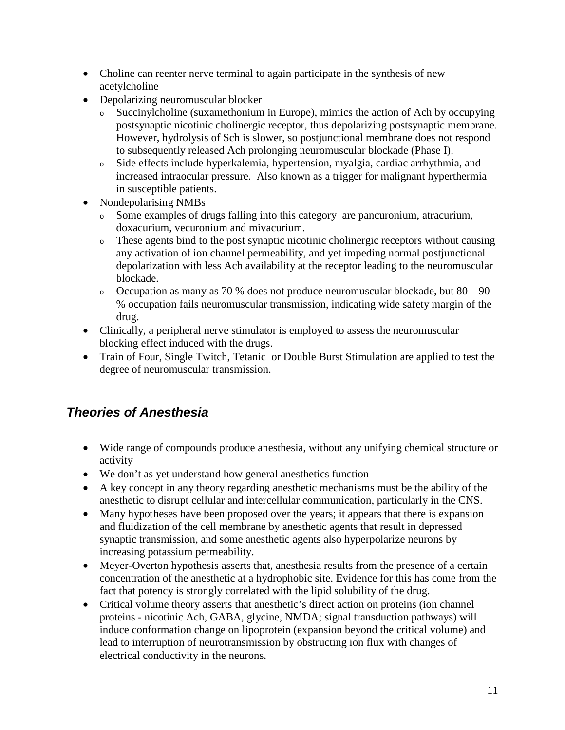- Choline can reenter nerve terminal to again participate in the synthesis of new acetylcholine
- Depolarizing neuromuscular blocker
	- <sup>o</sup> Succinylcholine (suxamethonium in Europe), mimics the action of Ach by occupying postsynaptic nicotinic cholinergic receptor, thus depolarizing postsynaptic membrane. However, hydrolysis of Sch is slower, so postjunctional membrane does not respond to subsequently released Ach prolonging neuromuscular blockade (Phase I).
	- <sup>o</sup> Side effects include hyperkalemia, hypertension, myalgia, cardiac arrhythmia, and increased intraocular pressure. Also known as a trigger for malignant hyperthermia in susceptible patients.
- Nondepolarising NMBs
	- <sup>o</sup> Some examples of drugs falling into this category are pancuronium, atracurium, doxacurium, vecuronium and mivacurium.
	- <sup>o</sup> These agents bind to the post synaptic nicotinic cholinergic receptors without causing any activation of ion channel permeability, and yet impeding normal postjunctional depolarization with less Ach availability at the receptor leading to the neuromuscular blockade.
	- o Occupation as many as 70 % does not produce neuromuscular blockade, but  $80 90$ % occupation fails neuromuscular transmission, indicating wide safety margin of the drug.
- Clinically, a peripheral nerve stimulator is employed to assess the neuromuscular blocking effect induced with the drugs.
- Train of Four, Single Twitch, Tetanic or Double Burst Stimulation are applied to test the degree of neuromuscular transmission.

# *Theories of Anesthesia*

- Wide range of compounds produce anesthesia, without any unifying chemical structure or activity
- We don't as yet understand how general anesthetics function
- A key concept in any theory regarding anesthetic mechanisms must be the ability of the anesthetic to disrupt cellular and intercellular communication, particularly in the CNS.
- Many hypotheses have been proposed over the years; it appears that there is expansion and fluidization of the cell membrane by anesthetic agents that result in depressed synaptic transmission, and some anesthetic agents also hyperpolarize neurons by increasing potassium permeability.
- Meyer-Overton hypothesis asserts that, anesthesia results from the presence of a certain concentration of the anesthetic at a hydrophobic site. Evidence for this has come from the fact that potency is strongly correlated with the lipid solubility of the drug.
- Critical volume theory asserts that anesthetic's direct action on proteins (ion channel proteins - nicotinic Ach, GABA, glycine, NMDA; signal transduction pathways) will induce conformation change on lipoprotein (expansion beyond the critical volume) and lead to interruption of neurotransmission by obstructing ion flux with changes of electrical conductivity in the neurons.